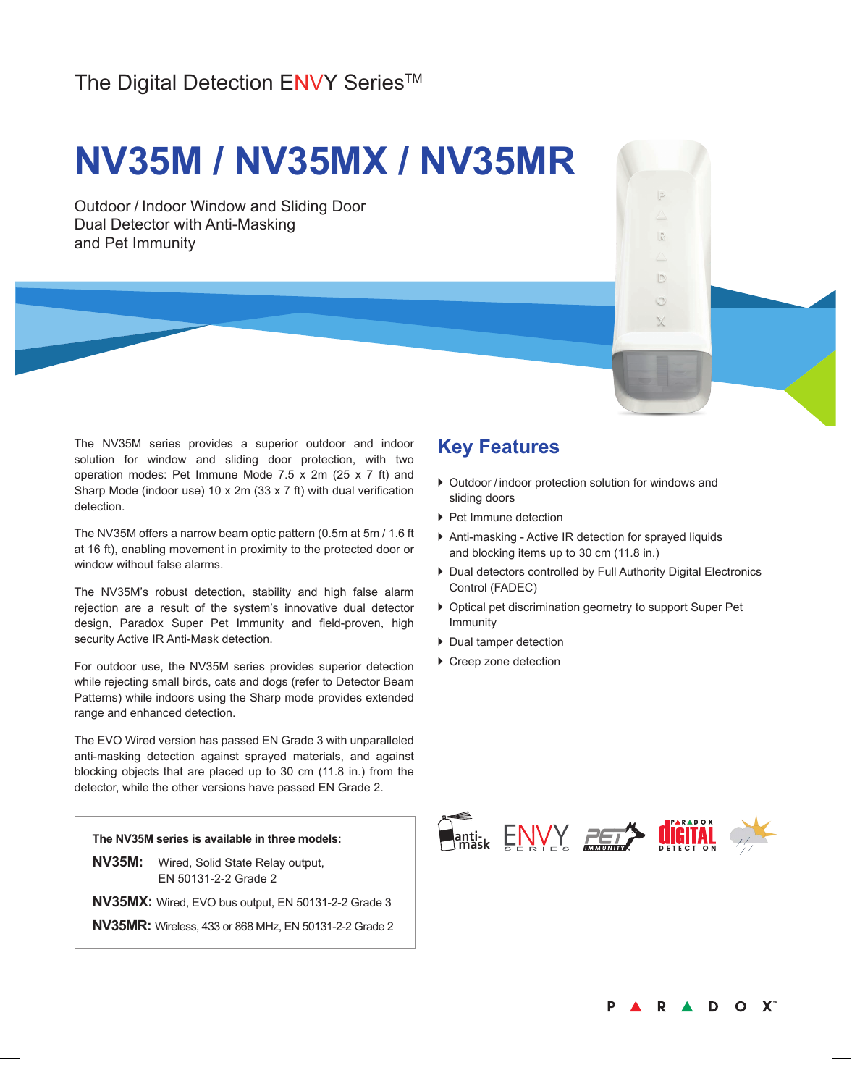# **NV35M / NV35MX / NV35MR**

Outdoor / Indoor Window and Sliding Door Dual Detector with Anti-Masking and Pet Immunity

The NV35M series provides a superior outdoor and indoor solution for window and sliding door protection, with two operation modes: Pet Immune Mode 7.5 x 2m (25 x 7 ft) and Sharp Mode (indoor use) 10 x 2m (33 x 7 ft) with dual verification detection.

The NV35M offers a narrow beam optic pattern (0.5m at 5m / 1.6 ft at 16 ft), enabling movement in proximity to the protected door or window without false alarms.

The NV35M's robust detection, stability and high false alarm rejection are a result of the system's innovative dual detector design, Paradox Super Pet Immunity and field-proven, high security Active IR Anti-Mask detection.

For outdoor use, the NV35M series provides superior detection while rejecting small birds, cats and dogs (refer to Detector Beam Patterns) while indoors using the Sharp mode provides extended range and enhanced detection.

The EVO Wired version has passed EN Grade 3 with unparalleled anti-masking detection against sprayed materials, and against blocking objects that are placed up to 30 cm (11.8 in.) from the detector, while the other versions have passed EN Grade 2.



## **Key Features**

- ▶ Outdoor / indoor protection solution for windows and sliding doors
- ▶ Pet Immune detection
- } Anti-masking Active IR detection for sprayed liquids and blocking items up to 30 cm (11.8 in.)
- ▶ Dual detectors controlled by Full Authority Digital Electronics Control (FADEC)

 $\mathbb{R}$ 

D

- } Optical pet discrimination geometry to support Super Pet Immunity
- ▶ Dual tamper detection
- ▶ Creep zone detection